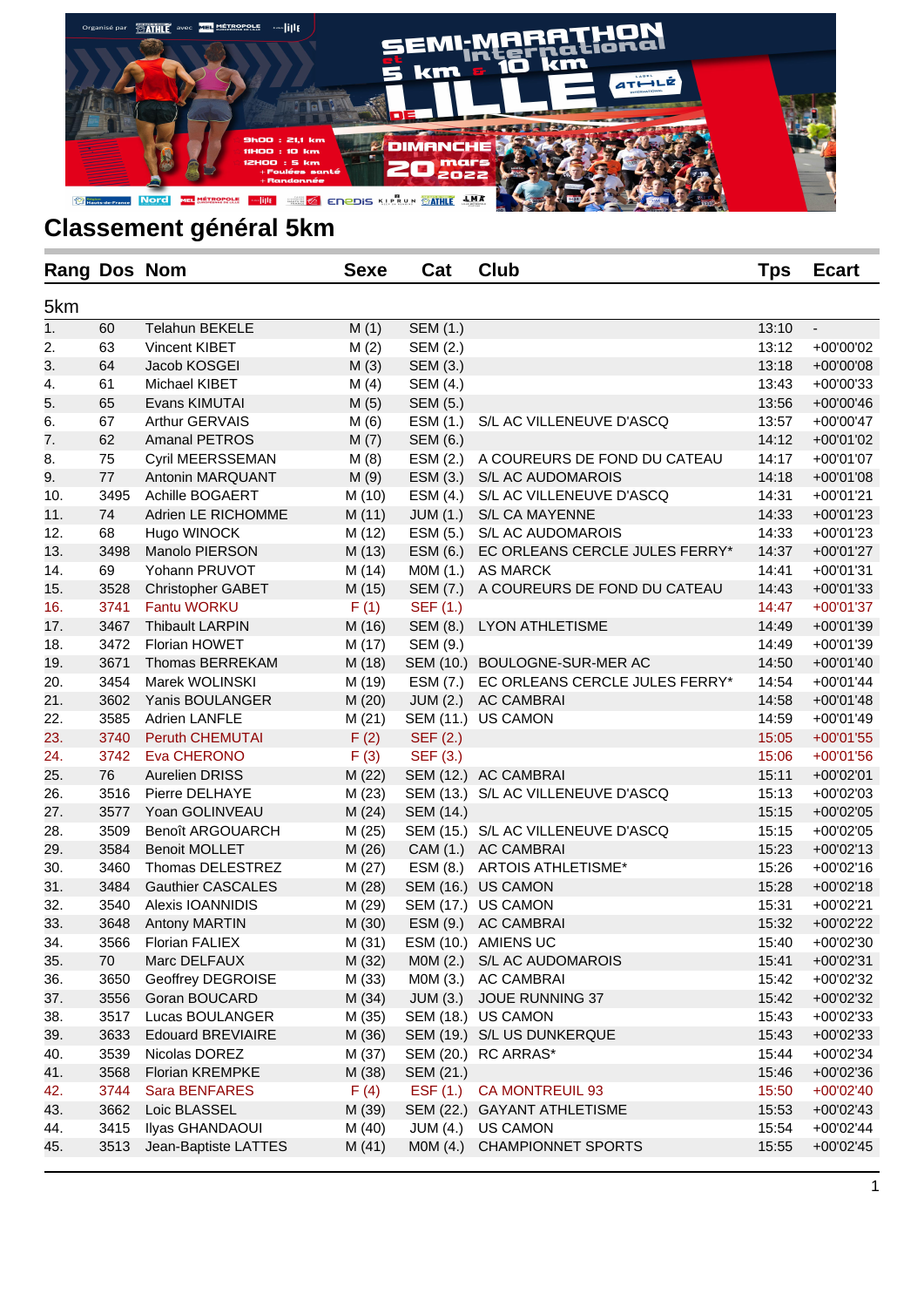

| Rang Dos Nom |        |                          | <b>Sexe</b> | Cat             | <b>Club</b>                        | <b>Tps</b> | <b>Ecart</b> |
|--------------|--------|--------------------------|-------------|-----------------|------------------------------------|------------|--------------|
| 5km          |        |                          |             |                 |                                    |            |              |
| 1.           | 60     | Telahun BEKELE           | M(1)        | <b>SEM (1.)</b> |                                    | 13:10      | ÷.           |
| 2.           | 63     | Vincent KIBET            | M(2)        | SEM (2.)        |                                    | 13:12      | +00'00'02    |
| 3.           | 64     | Jacob KOSGEI             | M(3)        | SEM (3.)        |                                    | 13:18      | +00'00'08    |
| 4.           | 61     | Michael KIBET            | M(4)        | SEM (4.)        |                                    | 13:43      | +00'00'33    |
| 5.           | 65     | Evans KIMUTAI            | M(5)        | SEM (5.)        |                                    | 13:56      | +00'00'46    |
| 6.           | 67     | Arthur GERVAIS           | M(6)        | ESM (1.)        | S/L AC VILLENEUVE D'ASCQ           | 13:57      | +00'00'47    |
| 7.           | 62     | <b>Amanal PETROS</b>     | M(7)        | SEM (6.)        |                                    | 14:12      | +00'01'02    |
| 8.           | 75     | Cyril MEERSSEMAN         | M(8)        | ESM (2.)        | A COUREURS DE FOND DU CATEAU       | 14:17      | +00'01'07    |
| 9.           | 77     | Antonin MARQUANT         | M(9)        | ESM (3.)        | S/L AC AUDOMAROIS                  | 14:18      | +00'01'08    |
| 10.          | 3495   | Achille BOGAERT          | M (10)      | ESM (4.)        | S/L AC VILLENEUVE D'ASCQ           | 14:31      | +00'01'21    |
| 11.          | 74     | Adrien LE RICHOMME       | M(11)       | JUM(1.)         | S/L CA MAYENNE                     | 14:33      | +00'01'23    |
| 12.          | 68     | Hugo WINOCK              | M(12)       | ESM (5.)        | S/L AC AUDOMAROIS                  | 14:33      | +00'01'23    |
| 13.          | 3498   | Manolo PIERSON           | M(13)       | ESM (6.)        | EC ORLEANS CERCLE JULES FERRY*     | 14:37      | +00'01'27    |
| 14.          | 69     | Yohann PRUVOT            | M (14)      | M0M (1.)        | AS MARCK                           | 14:41      | +00'01'31    |
| 15.          | 3528   | <b>Christopher GABET</b> | M (15)      | SEM (7.)        | A COUREURS DE FOND DU CATEAU       | 14:43      | +00'01'33    |
| 16.          | 3741   | <b>Fantu WORKU</b>       | F(1)        | SEF (1.)        |                                    | 14:47      | +00'01'37    |
| 17.          | 3467   | <b>Thibault LARPIN</b>   | M (16)      | SEM (8.)        | <b>LYON ATHLETISME</b>             | 14:49      | +00'01'39    |
| 18.          | 3472   | <b>Florian HOWET</b>     | M (17)      | SEM (9.)        |                                    | 14:49      | +00'01'39    |
| 19.          | 3671   | Thomas BERREKAM          | M (18)      |                 | SEM (10.) BOULOGNE-SUR-MER AC      | 14:50      | +00'01'40    |
| 20.          | 3454   | Marek WOLINSKI           | M (19)      | ESM (7.)        | EC ORLEANS CERCLE JULES FERRY*     | 14:54      | +00'01'44    |
| 21.          | 3602   | Yanis BOULANGER          | M(20)       | JUM(2.)         | <b>AC CAMBRAI</b>                  | 14:58      | +00'01'48    |
| 22.          | 3585   | <b>Adrien LANFLE</b>     | M(21)       |                 | SEM (11.) US CAMON                 | 14:59      | +00'01'49    |
| 23.          | 3740   | Peruth CHEMUTAI          | F(2)        | SEF (2.)        |                                    | 15:05      | $+00'01'55$  |
| 24.          | 3742   | Eva CHERONO              | F(3)        | SEF (3.)        |                                    | 15:06      | $+00'01'56$  |
| 25.          | 76     | <b>Aurelien DRISS</b>    | M(22)       |                 | SEM (12.) AC CAMBRAI               | 15:11      | +00'02'01    |
| 26.          | 3516   | Pierre DELHAYE           | M(23)       |                 | SEM (13.) S/L AC VILLENEUVE D'ASCQ | 15:13      | +00'02'03    |
| 27.          | 3577   | Yoan GOLINVEAU           | M(24)       | SEM (14.)       |                                    | 15:15      | +00'02'05    |
| 28.          | 3509   | Benoît ARGOUARCH         | M (25)      |                 | SEM (15.) S/L AC VILLENEUVE D'ASCQ | 15:15      | +00'02'05    |
| 29.          | 3584   | <b>Benoit MOLLET</b>     | M(26)       |                 | CAM (1.) AC CAMBRAI                | 15:23      | $+00'02'13$  |
| 30.          | 3460   | Thomas DELESTREZ         | M (27)      | ESM (8.)        | ARTOIS ATHLETISME*                 | 15:26      | +00'02'16    |
| 31.          | 3484   | <b>Gauthier CASCALES</b> | M(28)       |                 | SEM (16.) US CAMON                 | 15:28      | +00'02'18    |
| 32.          | 3540   | Alexis IOANNIDIS         | M (29)      |                 | SEM (17.) US CAMON                 | 15:31      | +00'02'21    |
| 33.          | 3648   | <b>Antony MARTIN</b>     | M (30)      |                 | ESM (9.) AC CAMBRAI                | 15:32      | +00'02'22    |
| 34.          | 3566   | <b>Florian FALIEX</b>    | M(31)       |                 | ESM (10.) AMIENS UC                | 15:40      | +00'02'30    |
| 35.          | $70\,$ | Marc DELFAUX             | M (32)      | MOM(2.)         | S/L AC AUDOMAROIS                  | 15:41      | +00'02'31    |
| 36.          | 3650   | Geoffrey DEGROISE        | M (33)      | M0M (3.)        | <b>AC CAMBRAI</b>                  | 15:42      | +00'02'32    |
| 37.          | 3556   | Goran BOUCARD            | M(34)       | JUM(3.)         | JOUE RUNNING 37                    | 15:42      | +00'02'32    |
| 38.          | 3517   | Lucas BOULANGER          | M (35)      |                 | SEM (18.) US CAMON                 | 15:43      | +00'02'33    |
| 39.          | 3633   | <b>Edouard BREVIAIRE</b> | M (36)      |                 | SEM (19.) S/L US DUNKERQUE         | 15:43      | +00'02'33    |
| 40.          | 3539   | Nicolas DOREZ            | M (37)      | SEM (20.)       | RC ARRAS*                          | 15:44      | +00'02'34    |
| 41.          | 3568   | <b>Florian KREMPKE</b>   | M (38)      | SEM (21.)       |                                    | 15:46      | +00'02'36    |
| 42.          | 3744   | Sara BENFARES            | F(4)        | EST(1.)         | <b>CA MONTREUIL 93</b>             | 15:50      | +00'02'40    |
| 43.          | 3662   | Loic BLASSEL             | M (39)      |                 | SEM (22.) GAYANT ATHLETISME        | 15:53      | $+00'02'43$  |
| 44.          | 3415   | Ilyas GHANDAOUI          | M(40)       | <b>JUM (4.)</b> | <b>US CAMON</b>                    | 15:54      | +00'02'44    |
| 45.          | 3513   | Jean-Baptiste LATTES     | M(41)       | MOM(4.)         | <b>CHAMPIONNET SPORTS</b>          | 15:55      | $+00'02'45$  |
|              |        |                          |             |                 |                                    |            |              |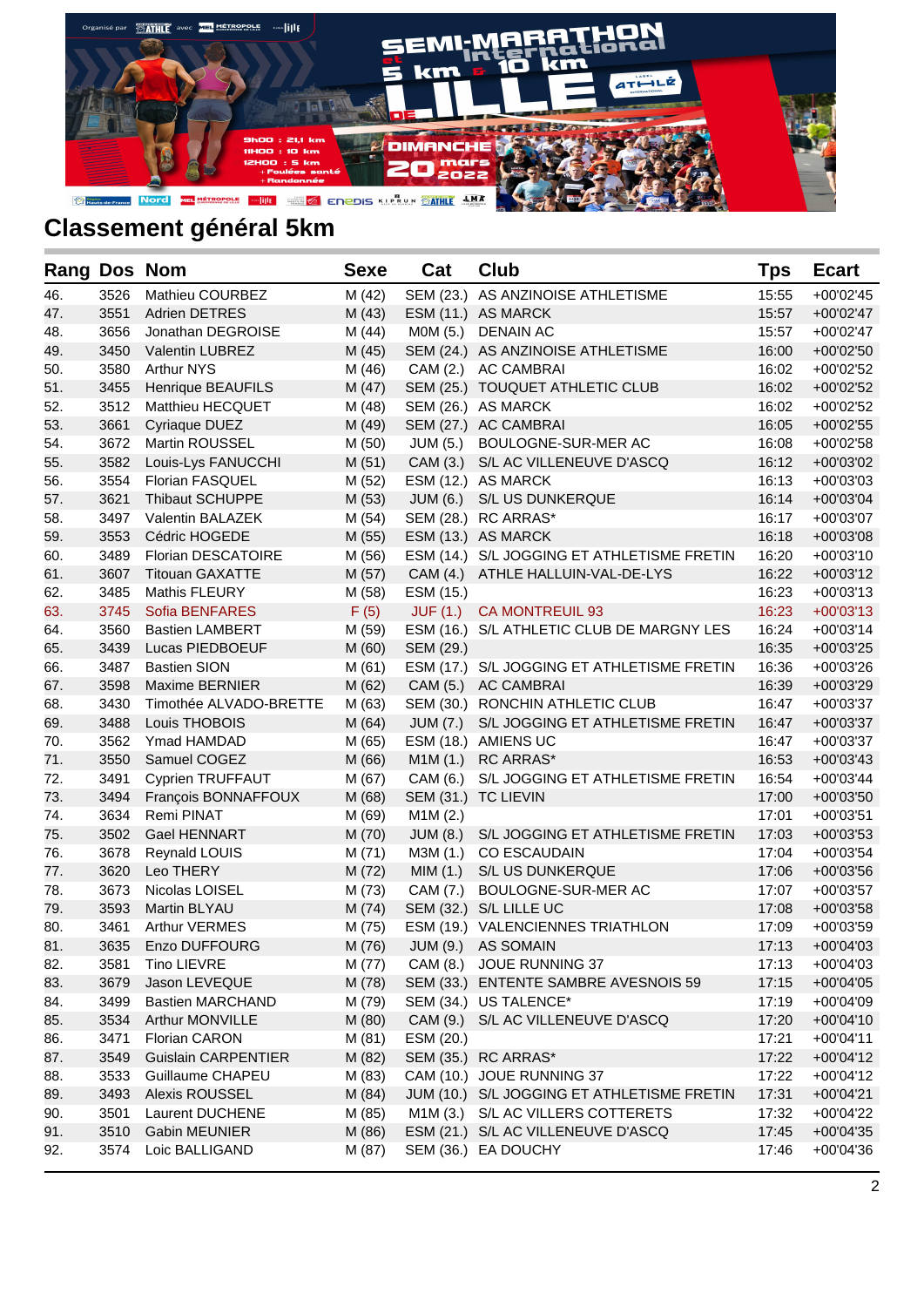

| <b>Rang Dos Nom</b> |      |                            | <b>Sexe</b> | Cat       | <b>Club</b>                                | Tps   | <b>Ecart</b> |
|---------------------|------|----------------------------|-------------|-----------|--------------------------------------------|-------|--------------|
| 46.                 | 3526 | Mathieu COURBEZ            | M (42)      |           | SEM (23.) AS ANZINOISE ATHLETISME          | 15:55 | $+00'02'45$  |
| 47.                 | 3551 | <b>Adrien DETRES</b>       | M(43)       |           | ESM (11.) AS MARCK                         | 15:57 | $+00'02'47$  |
| 48.                 | 3656 | Jonathan DEGROISE          | M (44)      |           | MOM (5.) DENAIN AC                         | 15:57 | +00'02'47    |
| 49.                 | 3450 | <b>Valentin LUBREZ</b>     | M (45)      |           | SEM (24.) AS ANZINOISE ATHLETISME          | 16:00 | $+00'02'50$  |
| 50.                 | 3580 | Arthur NYS                 | M (46)      |           | CAM (2.) AC CAMBRAI                        | 16:02 | +00'02'52    |
| 51.                 | 3455 | Henrique BEAUFILS          | M(47)       |           | SEM (25.) TOUQUET ATHLETIC CLUB            | 16:02 | +00'02'52    |
| 52.                 | 3512 | <b>Matthieu HECQUET</b>    | M (48)      |           | SEM (26.) AS MARCK                         | 16:02 | +00'02'52    |
| 53.                 | 3661 | Cyriaque DUEZ              | M (49)      |           | SEM (27.) AC CAMBRAI                       | 16:05 | $+00'02'55$  |
| 54.                 | 3672 | <b>Martin ROUSSEL</b>      | M (50)      | JUM (5.)  | BOULOGNE-SUR-MER AC                        | 16:08 | +00'02'58    |
| 55.                 | 3582 | Louis-Lys FANUCCHI         | M(51)       |           | CAM (3.) S/L AC VILLENEUVE D'ASCQ          | 16:12 | +00'03'02    |
| 56.                 | 3554 | <b>Florian FASQUEL</b>     | M (52)      |           | ESM (12.) AS MARCK                         | 16:13 | $+00'03'03$  |
| 57.                 | 3621 | <b>Thibaut SCHUPPE</b>     | M (53)      | JUM (6.)  | S/L US DUNKERQUE                           | 16:14 | $+00'03'04$  |
| 58.                 | 3497 | Valentin BALAZEK           | M (54)      |           | SEM (28.) RC ARRAS*                        | 16:17 | +00'03'07    |
| 59.                 | 3553 | Cédric HOGEDE              | M (55)      |           | ESM (13.) AS MARCK                         | 16:18 | +00'03'08    |
| 60.                 | 3489 | <b>Florian DESCATOIRE</b>  | M (56)      |           | ESM (14.) S/L JOGGING ET ATHLETISME FRETIN | 16:20 | $+00'03'10$  |
| 61.                 | 3607 | <b>Titouan GAXATTE</b>     | M(57)       |           | CAM (4.) ATHLE HALLUIN-VAL-DE-LYS          | 16:22 | $+00'03'12$  |
| 62.                 | 3485 | <b>Mathis FLEURY</b>       | M (58)      | ESM (15.) |                                            | 16:23 | $+00'03'13$  |
| 63.                 | 3745 | Sofia BENFARES             | F(5)        | JUF(1.)   | <b>CA MONTREUIL 93</b>                     | 16:23 | $+00'03'13$  |
| 64.                 | 3560 | <b>Bastien LAMBERT</b>     | M (59)      |           | ESM (16.) S/L ATHLETIC CLUB DE MARGNY LES  | 16:24 | $+00'03'14$  |
| 65.                 | 3439 | Lucas PIEDBOEUF            | M(60)       | SEM (29.) |                                            | 16:35 | +00'03'25    |
| 66.                 | 3487 | <b>Bastien SION</b>        | M (61)      |           | ESM (17.) S/L JOGGING ET ATHLETISME FRETIN | 16:36 | +00'03'26    |
| 67.                 | 3598 | <b>Maxime BERNIER</b>      | M (62)      |           | CAM (5.) AC CAMBRAI                        | 16:39 | +00'03'29    |
| 68.                 | 3430 | Timothée ALVADO-BRETTE     | M (63)      |           | SEM (30.) RONCHIN ATHLETIC CLUB            | 16:47 | +00'03'37    |
| 69.                 | 3488 | Louis THOBOIS              | M(64)       | JUM (7.)  | S/L JOGGING ET ATHLETISME FRETIN           | 16:47 | $+00'03'37$  |
| 70.                 | 3562 | Ymad HAMDAD                | M (65)      |           | ESM (18.) AMIENS UC                        | 16:47 | +00'03'37    |
| 71.                 | 3550 | Samuel COGEZ               | M (66)      |           | M1M (1.) RC ARRAS*                         | 16:53 | $+00'03'43$  |
| 72.                 | 3491 | <b>Cyprien TRUFFAUT</b>    | M (67)      | CAM (6.)  | S/L JOGGING ET ATHLETISME FRETIN           | 16:54 | $+00'03'44$  |
| 73.                 | 3494 | François BONNAFFOUX        | M (68)      |           | SEM (31.) TC LIEVIN                        | 17:00 | $+00'03'50$  |
| 74.                 | 3634 | Remi PINAT                 | M (69)      | M1M(2.)   |                                            | 17:01 | $+00'03'51$  |
| 75.                 | 3502 | <b>Gael HENNART</b>        | M (70)      | JUM (8.)  | S/L JOGGING ET ATHLETISME FRETIN           | 17:03 | $+00'03'53$  |
| 76.                 | 3678 | Reynald LOUIS              | M (71)      | M3M (1.)  | <b>CO ESCAUDAIN</b>                        | 17:04 | $+00'03'54$  |
| 77.                 | 3620 | Leo THERY                  | M (72)      | MIM(1.)   | S/L US DUNKERQUE                           | 17:06 | +00'03'56    |
| 78.                 | 3673 | Nicolas LOISEL             | M (73)      | CAM (7.)  | BOULOGNE-SUR-MER AC                        | 17:07 | $+00'03'57$  |
| 79.                 | 3593 | <b>Martin BLYAU</b>        | M(74)       |           | SEM (32.) S/L LILLE UC                     | 17:08 | $+00'03'58$  |
| 80.                 | 3461 | <b>Arthur VERMES</b>       | M (75)      |           | ESM (19.) VALENCIENNES TRIATHLON           | 17:09 | +00'03'59    |
| 81.                 | 3635 | Enzo DUFFOURG              | M (76)      |           | JUM (9.) AS SOMAIN                         | 17:13 | $+00'04'03$  |
| 82.                 | 3581 | Tino LIEVRE                | M (77)      |           | CAM (8.) JOUE RUNNING 37                   | 17:13 | +00'04'03    |
| 83.                 | 3679 | Jason LEVEQUE              | M (78)      |           | SEM (33.) ENTENTE SAMBRE AVESNOIS 59       | 17:15 | +00'04'05    |
| 84.                 | 3499 | <b>Bastien MARCHAND</b>    | M (79)      |           | SEM (34.) US TALENCE*                      | 17:19 | +00'04'09    |
| 85.                 | 3534 | <b>Arthur MONVILLE</b>     | M (80)      | CAM (9.)  | S/L AC VILLENEUVE D'ASCQ                   | 17:20 | $+00'04'10$  |
| 86.                 | 3471 | <b>Florian CARON</b>       | M (81)      | ESM (20.) |                                            | 17:21 | $+00'04'11$  |
| 87.                 | 3549 | <b>Guislain CARPENTIER</b> | M (82)      |           | SEM (35.) RC ARRAS*                        | 17:22 | $+00'04'12$  |
| 88.                 | 3533 | Guillaume CHAPEU           | M (83)      |           | CAM (10.) JOUE RUNNING 37                  | 17:22 | $+00'04'12$  |
| 89.                 | 3493 | Alexis ROUSSEL             | M (84)      |           | JUM (10.) S/L JOGGING ET ATHLETISME FRETIN | 17:31 | $+00'04'21$  |
| 90.                 | 3501 | Laurent DUCHENE            | M (85)      | M1M (3.)  | S/L AC VILLERS COTTERETS                   | 17:32 | +00'04'22    |
| 91.                 | 3510 | <b>Gabin MEUNIER</b>       | M (86)      |           | ESM (21.) S/L AC VILLENEUVE D'ASCQ         | 17:45 | $+00'04'35$  |
| 92.                 | 3574 | Loic BALLIGAND             | M (87)      |           | SEM (36.) EA DOUCHY                        | 17:46 | +00'04'36    |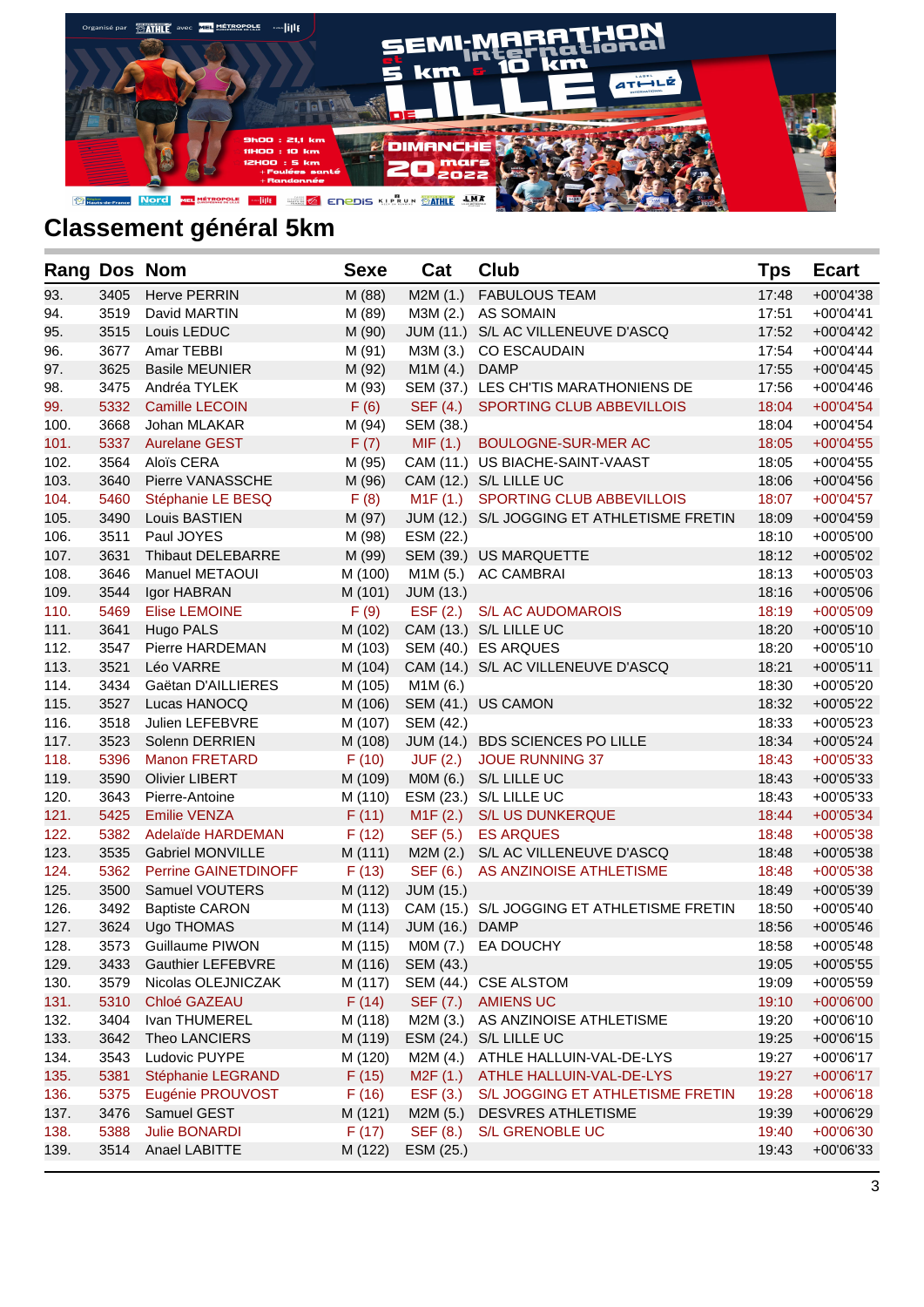

| Rang Dos Nom |      |                             | <b>Sexe</b> | Cat              | Club                                       | Tps   | <b>Ecart</b> |
|--------------|------|-----------------------------|-------------|------------------|--------------------------------------------|-------|--------------|
| 93.          | 3405 | Herve PERRIN                | M (88)      | M2M(1.)          | <b>FABULOUS TEAM</b>                       | 17:48 | +00'04'38    |
| 94.          | 3519 | David MARTIN                | M (89)      |                  | M3M (2.) AS SOMAIN                         | 17:51 | $+00'04'41$  |
| 95.          | 3515 | Louis LEDUC                 | M (90)      |                  | JUM (11.) S/L AC VILLENEUVE D'ASCQ         | 17:52 | $+00'04'42$  |
| 96.          | 3677 | Amar TEBBI                  | M (91)      | M3M (3.)         | <b>CO ESCAUDAIN</b>                        | 17:54 | +00'04'44    |
| 97.          | 3625 | <b>Basile MEUNIER</b>       | M (92)      | M1M(4.)          | <b>DAMP</b>                                | 17:55 | $+00'04'45$  |
| 98.          | 3475 | Andréa TYLEK                | M (93)      |                  | SEM (37.) LES CH'TIS MARATHONIENS DE       | 17:56 | $+00'04'46$  |
| 99.          | 5332 | <b>Camille LECOIN</b>       | F(6)        | SEF (4.)         | SPORTING CLUB ABBEVILLOIS                  | 18:04 | $+00'04'54$  |
| 100.         | 3668 | Johan MLAKAR                | M (94)      | SEM (38.)        |                                            | 18:04 | $+00'04'54$  |
| 101.         | 5337 | <b>Aurelane GEST</b>        | F(7)        | MIF(1.)          | BOULOGNE-SUR-MER AC                        | 18:05 | $+00'04'55$  |
| 102.         | 3564 | Aloïs CERA                  | M (95)      |                  | CAM (11.) US BIACHE-SAINT-VAAST            | 18:05 | $+00'04'55$  |
| 103.         | 3640 | Pierre VANASSCHE            | M (96)      |                  | CAM (12.) S/L LILLE UC                     | 18:06 | $+00'04'56$  |
| 104.         | 5460 | Stéphanie LE BESQ           | F(8)        |                  | M1F (1.) SPORTING CLUB ABBEVILLOIS         | 18:07 | $+00'04'57$  |
| 105.         | 3490 | Louis BASTIEN               | M (97)      |                  | JUM (12.) S/L JOGGING ET ATHLETISME FRETIN | 18:09 | $+00'04'59$  |
| 106.         | 3511 | Paul JOYES                  | M (98)      | ESM (22.)        |                                            | 18:10 | +00'05'00    |
| 107.         | 3631 | <b>Thibaut DELEBARRE</b>    | M (99)      |                  | SEM (39.) US MARQUETTE                     | 18:12 | +00'05'02    |
| 108.         | 3646 | Manuel METAOUI              | M (100)     |                  | M1M (5.) AC CAMBRAI                        | 18:13 | $+00'05'03$  |
| 109.         | 3544 | Igor HABRAN                 | M (101)     | <b>JUM (13.)</b> |                                            | 18:16 | +00'05'06    |
| 110.         | 5469 | <b>Elise LEMOINE</b>        | F(9)        | EST(2.)          | <b>S/L AC AUDOMAROIS</b>                   | 18:19 | $+00'05'09$  |
| 111.         | 3641 | Hugo PALS                   | M (102)     |                  | CAM (13.) S/L LILLE UC                     | 18:20 | $+00'05'10$  |
| 112.         | 3547 | Pierre HARDEMAN             | M (103)     |                  | SEM (40.) ES ARQUES                        | 18:20 | $+00'05'10$  |
| 113.         | 3521 | Léo VARRE                   | M (104)     |                  | CAM (14.) S/L AC VILLENEUVE D'ASCQ         | 18:21 | $+00'05'11$  |
| 114.         | 3434 | Gaëtan D'AILLIERES          | M (105)     | M1M(6.)          |                                            | 18:30 | +00'05'20    |
| 115.         | 3527 | Lucas HANOCQ                | M (106)     |                  | SEM (41.) US CAMON                         | 18:32 | +00'05'22    |
| 116.         | 3518 | Julien LEFEBVRE             | M (107)     | SEM (42.)        |                                            | 18:33 | $+00'05'23$  |
| 117.         | 3523 | Solenn DERRIEN              | M (108)     |                  | JUM (14.) BDS SCIENCES PO LILLE            | 18:34 | +00'05'24    |
| 118.         | 5396 | <b>Manon FRETARD</b>        | F(10)       | <b>JUF (2.)</b>  | <b>JOUE RUNNING 37</b>                     | 18:43 | $+00'05'33$  |
| 119.         | 3590 | <b>Olivier LIBERT</b>       | M (109)     | M0M (6.)         | S/L LILLE UC                               | 18:43 | $+00'05'33$  |
| 120.         | 3643 | Pierre-Antoine              | M (110)     |                  | ESM (23.) S/L LILLE UC                     | 18:43 | $+00'05'33$  |
| 121.         | 5425 | <b>Emilie VENZA</b>         | F(11)       | M1F(2.)          | <b>S/L US DUNKERQUE</b>                    | 18:44 | $+00'05'34$  |
| 122.         | 5382 | <b>Adelaïde HARDEMAN</b>    | F(12)       | SEF (5.)         | <b>ES ARQUES</b>                           | 18:48 | $+00'05'38$  |
| 123.         | 3535 | <b>Gabriel MONVILLE</b>     | M (111)     |                  | M2M (2.) S/L AC VILLENEUVE D'ASCQ          | 18:48 | $+00'05'38$  |
| 124.         | 5362 | <b>Perrine GAINETDINOFF</b> | F(13)       | SEF (6.)         | AS ANZINOISE ATHLETISME                    | 18:48 | $+00'05'38$  |
| 125.         | 3500 | Samuel VOUTERS              | M (112)     | <b>JUM (15.)</b> |                                            | 18:49 | $+00'05'39$  |
| 126.         | 3492 | <b>Baptiste CARON</b>       | M (113)     |                  | CAM (15.) S/L JOGGING ET ATHLETISME FRETIN | 18:50 | $+00'05'40$  |
| 127.         | 3624 | Ugo THOMAS                  | M (114)     | JUM (16.) DAMP   |                                            | 18:56 | $+00'05'46$  |
| 128.         | 3573 | Guillaume PIWON             | M (115)     |                  | MOM (7.) EA DOUCHY                         | 18:58 | +00'05'48    |
| 129.         | 3433 | Gauthier LEFEBVRE           | M (116)     | SEM (43.)        |                                            | 19:05 | +00'05'55    |
| 130.         | 3579 | Nicolas OLEJNICZAK          | M (117)     |                  | SEM (44.) CSE ALSTOM                       | 19:09 | +00'05'59    |
| 131.         | 5310 | Chloé GAZEAU                | F(14)       | SEF (7.)         | <b>AMIENS UC</b>                           | 19:10 | +00'06'00    |
| 132.         | 3404 | Ivan THUMEREL               | M (118)     | M2M (3.)         | AS ANZINOISE ATHLETISME                    | 19:20 | $+00'06'10$  |
| 133.         | 3642 | Theo LANCIERS               | M (119)     | ESM (24.)        | S/L LILLE UC                               | 19:25 | $+00'06'15$  |
| 134.         | 3543 | Ludovic PUYPE               | M (120)     | M2M (4.)         | ATHLE HALLUIN-VAL-DE-LYS                   | 19:27 | +00'06'17    |
| 135.         | 5381 | Stéphanie LEGRAND           | F(15)       | M2F(1.)          | ATHLE HALLUIN-VAL-DE-LYS                   | 19:27 | $+00'06'17$  |
| 136.         | 5375 | Eugénie PROUVOST            | F(16)       | EST(3.)          | S/L JOGGING ET ATHLETISME FRETIN           | 19:28 | $+00'06'18$  |
| 137.         | 3476 | Samuel GEST                 | M (121)     | M2M (5.)         | <b>DESVRES ATHLETISME</b>                  | 19:39 | +00'06'29    |
| 138.         | 5388 | <b>Julie BONARDI</b>        | F(17)       | SEF (8.)         | S/L GRENOBLE UC                            | 19:40 | $+00'06'30$  |
| 139.         | 3514 | Anael LABITTE               | M (122)     | ESM (25.)        |                                            | 19:43 | +00'06'33    |
|              |      |                             |             |                  |                                            |       |              |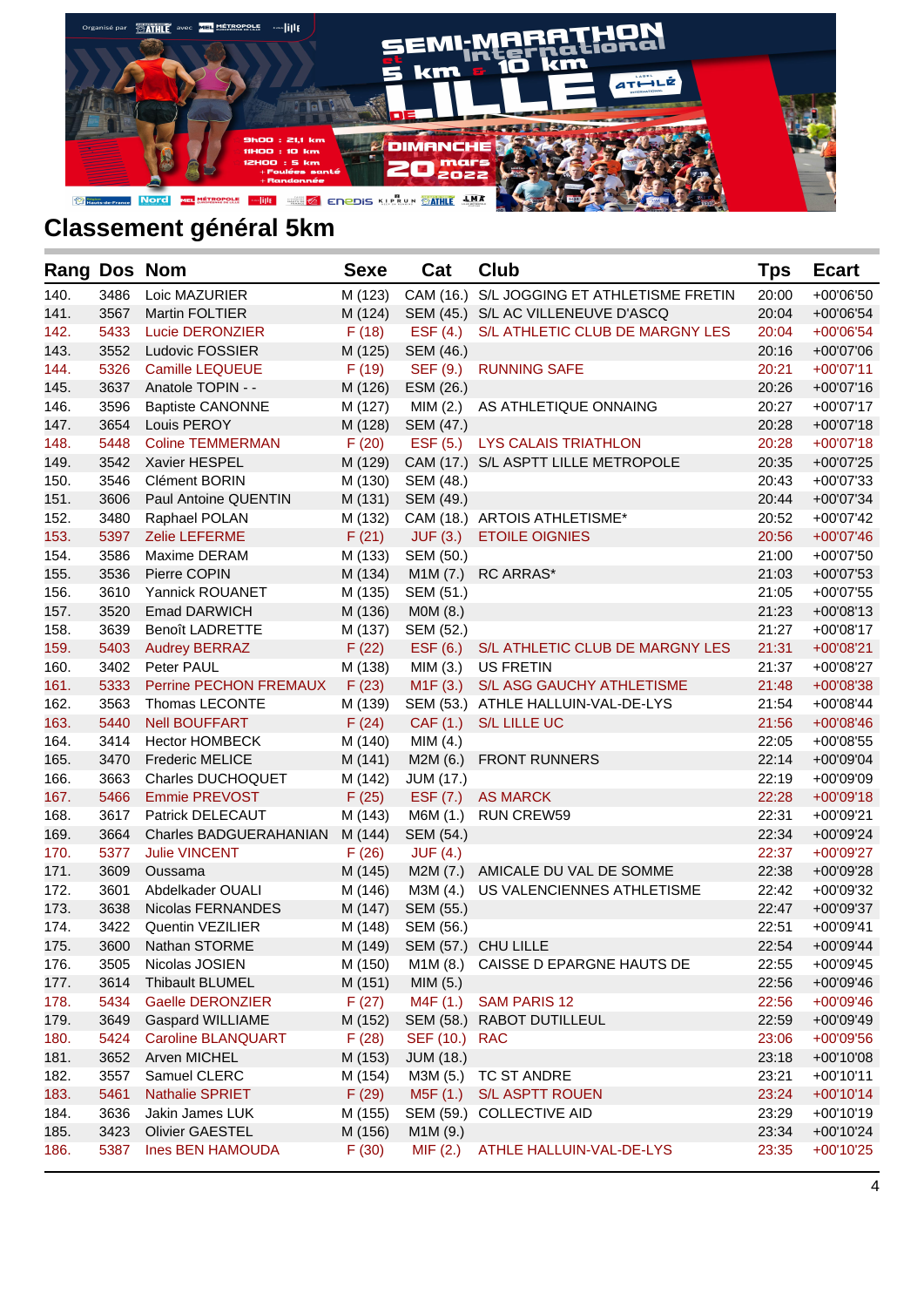

| <b>Rang Dos Nom</b> |      |                               | <b>Sexe</b> | Cat              | <b>Club</b>                         | Tps   | <b>Ecart</b> |
|---------------------|------|-------------------------------|-------------|------------------|-------------------------------------|-------|--------------|
| 140.                | 3486 | Loic MAZURIER                 | M (123)     | CAM (16.)        | S/L JOGGING ET ATHLETISME FRETIN    | 20:00 | +00'06'50    |
| 141.                | 3567 | Martin FOLTIER                | M (124)     |                  | SEM (45.) S/L AC VILLENEUVE D'ASCQ  | 20:04 | +00'06'54    |
| 142.                | 5433 | <b>Lucie DERONZIER</b>        | F(18)       | EST(4.)          | S/L ATHLETIC CLUB DE MARGNY LES     | 20:04 | $+00'06'54$  |
| 143.                | 3552 | Ludovic FOSSIER               | M (125)     | SEM (46.)        |                                     | 20:16 | +00'07'06    |
| 144.                | 5326 | <b>Camille LEQUEUE</b>        | F(19)       | SEF (9.)         | <b>RUNNING SAFE</b>                 | 20:21 | $+00'07'11$  |
| 145.                | 3637 | Anatole TOPIN - -             | M (126)     | ESM (26.)        |                                     | 20:26 | $+00'07'16$  |
| 146.                | 3596 | <b>Baptiste CANONNE</b>       | M (127)     | MIM (2.)         | AS ATHLETIQUE ONNAING               | 20:27 | $+00'07'17$  |
| 147.                | 3654 | Louis PEROY                   | M (128)     | SEM (47.)        |                                     | 20:28 | $+00'07'18$  |
| 148.                | 5448 | <b>Coline TEMMERMAN</b>       | F(20)       | EST(5.)          | <b>LYS CALAIS TRIATHLON</b>         | 20:28 | $+00'07'18$  |
| 149.                | 3542 | Xavier HESPEL                 | M (129)     |                  | CAM (17.) S/L ASPTT LILLE METROPOLE | 20:35 | +00'07'25    |
| 150.                | 3546 | <b>Clément BORIN</b>          | M (130)     | SEM (48.)        |                                     | 20:43 | $+00'07'33$  |
| 151.                | 3606 | <b>Paul Antoine QUENTIN</b>   | M (131)     | SEM (49.)        |                                     | 20:44 | +00'07'34    |
| 152.                | 3480 | Raphael POLAN                 | M (132)     |                  | CAM (18.) ARTOIS ATHLETISME*        | 20:52 | +00'07'42    |
| 153.                | 5397 | Zelie LEFERME                 | F(21)       | JUF(3.)          | <b>ETOILE OIGNIES</b>               | 20:56 | $+00'07'46$  |
| 154.                | 3586 | Maxime DERAM                  | M (133)     | SEM (50.)        |                                     | 21:00 | +00'07'50    |
| 155.                | 3536 | Pierre COPIN                  | M (134)     | M1M(7.)          | <b>RC ARRAS*</b>                    | 21:03 | +00'07'53    |
| 156.                | 3610 | Yannick ROUANET               | M (135)     | SEM (51.)        |                                     | 21:05 | +00'07'55    |
| 157.                | 3520 | <b>Emad DARWICH</b>           | M (136)     | M0M (8.)         |                                     | 21:23 | $+00'08'13$  |
| 158.                | 3639 | <b>Benoît LADRETTE</b>        | M (137)     | SEM (52.)        |                                     | 21:27 | $+00'08'17$  |
| 159.                | 5403 | <b>Audrey BERRAZ</b>          | F(22)       | ESF (6.)         | S/L ATHLETIC CLUB DE MARGNY LES     | 21:31 | $+00'08'21$  |
| 160.                | 3402 | Peter PAUL                    | M (138)     | MIM (3.)         | <b>US FRETIN</b>                    | 21:37 | +00'08'27    |
| 161.                | 5333 | Perrine PECHON FREMAUX        | F(23)       | M1F(3.)          | S/L ASG GAUCHY ATHLETISME           | 21:48 | +00'08'38    |
| 162.                | 3563 | Thomas LECONTE                | M (139)     |                  | SEM (53.) ATHLE HALLUIN-VAL-DE-LYS  | 21:54 | +00'08'44    |
| 163.                | 5440 | <b>Nell BOUFFART</b>          | F(24)       | CAF(1.)          | <b>S/L LILLE UC</b>                 | 21:56 | $+00'08'46$  |
| 164.                | 3414 | <b>Hector HOMBECK</b>         | M (140)     | MIM(4.)          |                                     | 22:05 | +00'08'55    |
| 165.                | 3470 | <b>Frederic MELICE</b>        | M (141)     | M2M (6.)         | <b>FRONT RUNNERS</b>                | 22:14 | +00'09'04    |
| 166.                | 3663 | Charles DUCHOQUET             | M (142)     | <b>JUM (17.)</b> |                                     | 22:19 | +00'09'09    |
| 167.                | 5466 | <b>Emmie PREVOST</b>          | F(25)       | ESF (7.)         | <b>AS MARCK</b>                     | 22:28 | $+00'09'18$  |
| 168.                | 3617 | Patrick DELECAUT              | M (143)     | M6M (1.)         | <b>RUN CREW59</b>                   | 22:31 | +00'09'21    |
| 169.                | 3664 | <b>Charles BADGUERAHANIAN</b> | M (144)     | SEM (54.)        |                                     | 22:34 | +00'09'24    |
| 170.                | 5377 | <b>Julie VINCENT</b>          | F(26)       | JUF(4.)          |                                     | 22:37 | +00'09'27    |
| 171.                | 3609 | Oussama                       | M (145)     | M2M (7.)         | AMICALE DU VAL DE SOMME             | 22:38 | +00'09'28    |
| 172.                | 3601 | Abdelkader OUALI              | M (146)     | M3M (4.)         | US VALENCIENNES ATHLETISME          | 22:42 | +00'09'32    |
| 173.                | 3638 | Nicolas FERNANDES             | M (147)     | SEM (55.)        |                                     | 22:47 | +00'09'37    |
| 174.                | 3422 | <b>Quentin VEZILIER</b>       | M (148)     | SEM (56.)        |                                     | 22:51 | $+00'09'41$  |
| 175.                | 3600 | Nathan STORME                 | M (149)     |                  | SEM (57.) CHU LILLE                 | 22:54 | +00'09'44    |
| 176.                | 3505 | Nicolas JOSIEN                | M (150)     | M1M (8.)         | CAISSE D EPARGNE HAUTS DE           | 22:55 | +00'09'45    |
| 177.                | 3614 | <b>Thibault BLUMEL</b>        | M (151)     | MIM(5.)          |                                     | 22:56 | +00'09'46    |
| 178.                | 5434 | <b>Gaelle DERONZIER</b>       | F(27)       | M4F (1.)         | <b>SAM PARIS 12</b>                 | 22:56 | $+00'09'46$  |
| 179.                | 3649 | <b>Gaspard WILLIAME</b>       | M (152)     |                  | SEM (58.) RABOT DUTILLEUL           | 22:59 | +00'09'49    |
| 180.                | 5424 | <b>Caroline BLANQUART</b>     | F(28)       | SEF (10.)        | <b>RAC</b>                          | 23:06 | $+00'09'56$  |
| 181.                | 3652 | Arven MICHEL                  | M (153)     | <b>JUM (18.)</b> |                                     | 23:18 | +00'10'08    |
| 182.                | 3557 | Samuel CLERC                  | M (154)     | M3M (5.)         | TC ST ANDRE                         | 23:21 | $+00'10'11$  |
| 183.                | 5461 | <b>Nathalie SPRIET</b>        | F(29)       | M5F (1.)         | <b>S/L ASPTT ROUEN</b>              | 23:24 | $+00'10'14$  |
| 184.                | 3636 | Jakin James LUK               | M (155)     | SEM (59.)        | <b>COLLECTIVE AID</b>               | 23:29 | $+00'10'19$  |
| 185.                | 3423 | <b>Olivier GAESTEL</b>        | M (156)     | M1M (9.)         |                                     | 23:34 | +00'10'24    |
| 186.                | 5387 | <b>Ines BEN HAMOUDA</b>       | F(30)       | MIF(2.)          | ATHLE HALLUIN-VAL-DE-LYS            | 23:35 | +00'10'25    |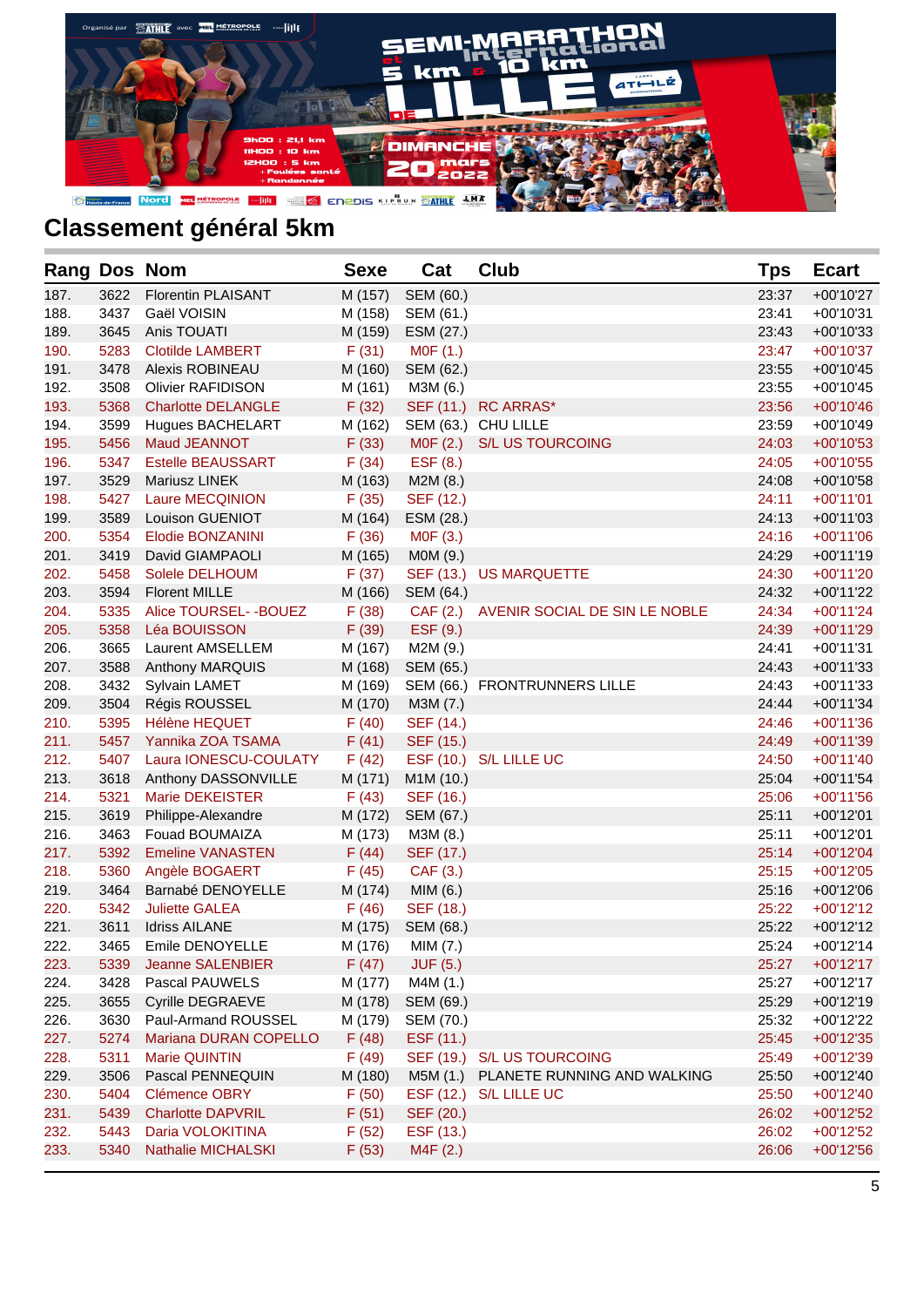

| Rang Dos Nom |      |                           | <b>Sexe</b> | Cat             | <b>Club</b>                            | <b>Tps</b> | <b>Ecart</b> |
|--------------|------|---------------------------|-------------|-----------------|----------------------------------------|------------|--------------|
| 187.         | 3622 | <b>Florentin PLAISANT</b> | M (157)     | SEM (60.)       |                                        | 23:37      | +00'10'27    |
| 188.         | 3437 | Gaël VOISIN               | M (158)     | SEM (61.)       |                                        | 23:41      | $+00'10'31$  |
| 189.         | 3645 | Anis TOUATI               | M (159)     | ESM (27.)       |                                        | 23:43      | $+00'10'33$  |
| 190.         | 5283 | <b>Clotilde LAMBERT</b>   | F(31)       | M0F (1.)        |                                        | 23:47      | $+00'10'37$  |
| 191.         | 3478 | Alexis ROBINEAU           | M (160)     | SEM (62.)       |                                        | 23:55      | $+00'10'45$  |
| 192.         | 3508 | <b>Olivier RAFIDISON</b>  | M (161)     | M3M (6.)        |                                        | 23:55      | $+00'10'45$  |
| 193.         | 5368 | <b>Charlotte DELANGLE</b> | F(32)       |                 | SEF (11.) RC ARRAS*                    | 23:56      | $+00'10'46$  |
| 194.         | 3599 | Hugues BACHELART          | M (162)     |                 | SEM (63.) CHU LILLE                    | 23:59      | $+00'10'49$  |
| 195.         | 5456 | Maud JEANNOT              | F(33)       | MOF(2.)         | <b>S/L US TOURCOING</b>                | 24:03      | $+00'10'53$  |
| 196.         | 5347 | <b>Estelle BEAUSSART</b>  | F(34)       | ESF (8.)        |                                        | 24:05      | $+00'10'55$  |
| 197.         | 3529 | Mariusz LINEK             | M (163)     | M2M(8.)         |                                        | 24:08      | $+00'10'58$  |
| 198.         | 5427 | <b>Laure MECQINION</b>    | F(35)       | SEF (12.)       |                                        | 24:11      | $+00'11'01$  |
| 199.         | 3589 | <b>Louison GUENIOT</b>    | M (164)     | ESM (28.)       |                                        | 24:13      | $+00'11'03$  |
| 200.         | 5354 | Elodie BONZANINI          | F(36)       | M0F (3.)        |                                        | 24:16      | $+00'11'06$  |
| 201.         | 3419 | David GIAMPAOLI           | M (165)     | MOM (9.)        |                                        | 24:29      | $+00'11'19$  |
| 202.         | 5458 | Solele DELHOUM            | F(37)       |                 | SEF (13.) US MARQUETTE                 | 24:30      | $+00'11'20$  |
| 203.         | 3594 | <b>Florent MILLE</b>      | M (166)     | SEM (64.)       |                                        | 24:32      | $+00'11'22$  |
| 204.         | 5335 | Alice TOURSEL--BOUEZ      | F(38)       |                 | CAF (2.) AVENIR SOCIAL DE SIN LE NOBLE | 24:34      | $+00'11'24$  |
| 205.         | 5358 | Léa BOUISSON              | F(39)       | ESF (9.)        |                                        | 24:39      | $+00'11'29$  |
| 206.         | 3665 | <b>Laurent AMSELLEM</b>   | M (167)     | M2M (9.)        |                                        | 24:41      | $+00'11'31$  |
| 207.         | 3588 | Anthony MARQUIS           | M (168)     | SEM (65.)       |                                        | 24:43      | $+00'11'33$  |
| 208.         | 3432 | Sylvain LAMET             | M (169)     |                 | SEM (66.) FRONTRUNNERS LILLE           | 24:43      | $+00'11'33$  |
| 209.         | 3504 | Régis ROUSSEL             | M (170)     | M3M (7.)        |                                        | 24:44      | $+00'11'34$  |
| 210.         | 5395 | <b>Hélène HEQUET</b>      | F(40)       | SEF (14.)       |                                        | 24:46      | $+00'11'36$  |
| 211.         | 5457 | Yannika ZOA TSAMA         | F(41)       | SEF (15.)       |                                        | 24:49      | $+00'11'39$  |
| 212.         | 5407 | Laura IONESCU-COULATY     | F(42)       |                 | ESF (10.) S/L LILLE UC                 | 24:50      | $+00'11'40$  |
| 213.         | 3618 | Anthony DASSONVILLE       | M (171)     | M1M (10.)       |                                        | 25:04      | $+00'11'54$  |
| 214.         | 5321 | Marie DEKEISTER           | F(43)       | SEF (16.)       |                                        | 25:06      | $+00'11'56$  |
| 215.         | 3619 | Philippe-Alexandre        | M (172)     | SEM (67.)       |                                        | 25:11      | $+00'12'01$  |
| 216.         | 3463 | Fouad BOUMAIZA            | M (173)     | M3M (8.)        |                                        | 25:11      | $+00'12'01$  |
| 217.         | 5392 | <b>Emeline VANASTEN</b>   | F(44)       | SEF (17.)       |                                        | 25:14      | $+00'12'04$  |
| 218.         | 5360 | Angèle BOGAERT            | F(45)       | CAF (3.)        |                                        | 25:15      | $+00'12'05$  |
| 219.         | 3464 | Barnabé DENOYELLE         | M (174)     | MIM (6.)        |                                        | 25:16      | +00'12'06    |
| 220.         | 5342 | <b>Juliette GALEA</b>     | F(46)       | SEF (18.)       |                                        | 25:22      | $+00'12'12$  |
| 221.         | 3611 | <b>Idriss AILANE</b>      | M (175)     | SEM (68.)       |                                        | 25:22      | $+00'12'12$  |
| 222.         | 3465 | Emile DENOYELLE           | M (176)     | MIM (7.)        |                                        | 25:24      | $+00'12'14$  |
| 223.         | 5339 | Jeanne SALENBIER          | F(47)       | <b>JUF (5.)</b> |                                        | 25:27      | $+00'12'17$  |
| 224.         | 3428 | Pascal PAUWELS            | M (177)     | M4M (1.)        |                                        | 25:27      | $+00'12'17$  |
| 225.         | 3655 | <b>Cyrille DEGRAEVE</b>   | M (178)     | SEM (69.)       |                                        | 25:29      | $+00'12'19$  |
| 226.         | 3630 | Paul-Armand ROUSSEL       | M (179)     | SEM (70.)       |                                        | 25:32      | +00'12'22    |
| 227.         | 5274 | Mariana DURAN COPELLO     | F(48)       | ESF (11.)       |                                        | 25:45      | $+00'12'35$  |
| 228.         | 5311 | <b>Marie QUINTIN</b>      | F(49)       |                 | SEF (19.) S/L US TOURCOING             | 25:49      | +00'12'39    |
| 229.         | 3506 | Pascal PENNEQUIN          | M (180)     | M5M (1.)        | PLANETE RUNNING AND WALKING            | 25:50      | +00'12'40    |
| 230.         | 5404 | <b>Clémence OBRY</b>      | F(50)       |                 | ESF (12.) S/L LILLE UC                 | 25:50      | $+00'12'40$  |
| 231.         | 5439 | <b>Charlotte DAPVRIL</b>  | F(51)       | SEF (20.)       |                                        | 26:02      | $+00'12'52$  |
| 232.         | 5443 | Daria VOLOKITINA          | F(52)       | ESF (13.)       |                                        | 26:02      | $+00'12'52$  |
| 233.         | 5340 | <b>Nathalie MICHALSKI</b> | F(53)       | M4F (2.)        |                                        | 26:06      | $+00'12'56$  |
|              |      |                           |             |                 |                                        |            |              |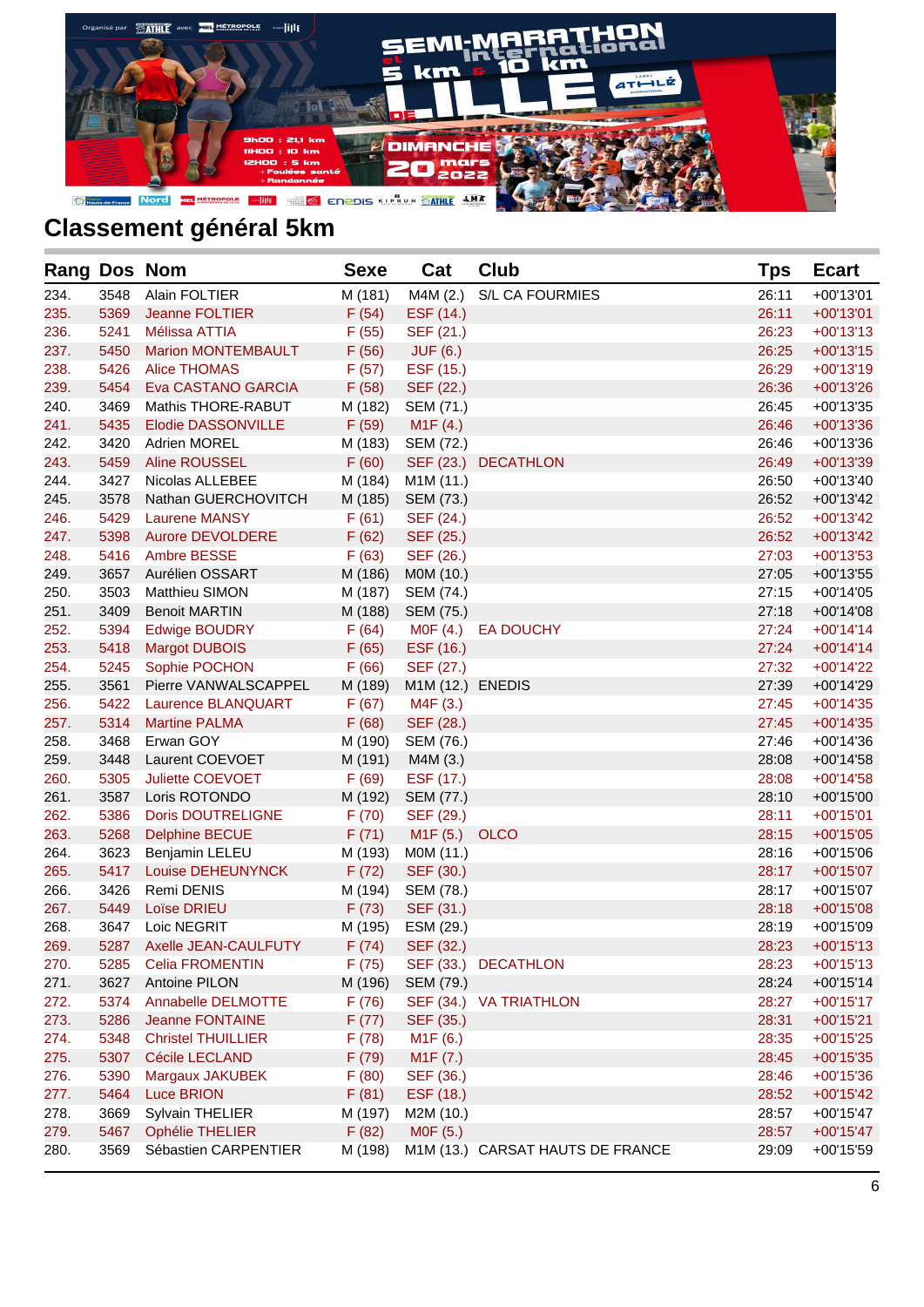

| Rang Dos Nom |      |                           | <b>Sexe</b> | Cat               | <b>Club</b>                      | <b>Tps</b> | <b>Ecart</b> |
|--------------|------|---------------------------|-------------|-------------------|----------------------------------|------------|--------------|
| 234.         | 3548 | Alain FOLTIER             | M (181)     | M4M (2.)          | <b>S/L CA FOURMIES</b>           | 26:11      | $+00'13'01$  |
| 235.         | 5369 | Jeanne FOLTIER            | F(54)       | ESF (14.)         |                                  | 26:11      | $+00'13'01$  |
| 236.         | 5241 | Mélissa ATTIA             | F(55)       | SEF (21.)         |                                  | 26:23      | $+00'13'13$  |
| 237.         | 5450 | <b>Marion MONTEMBAULT</b> | F(56)       | <b>JUF (6.)</b>   |                                  | 26:25      | $+00'13'15$  |
| 238.         | 5426 | <b>Alice THOMAS</b>       | F(57)       | ESF (15.)         |                                  | 26:29      | $+00'13'19$  |
| 239.         | 5454 | Eva CASTANO GARCIA        | F(58)       | SEF (22.)         |                                  | 26:36      | +00'13'26    |
| 240.         | 3469 | Mathis THORE-RABUT        | M (182)     | SEM (71.)         |                                  | 26:45      | $+00'13'35$  |
| 241.         | 5435 | Elodie DASSONVILLE        | F(59)       | M1F(4.)           |                                  | 26:46      | $+00'13'36$  |
| 242.         | 3420 | <b>Adrien MOREL</b>       |             | M (183) SEM (72.) |                                  | 26:46      | $+00'13'36$  |
| 243.         | 5459 | Aline ROUSSEL             | F(60)       |                   | SEF (23.) DECATHLON              | 26:49      | +00'13'39    |
| 244.         | 3427 | Nicolas ALLEBEE           | M (184)     | M1M (11.)         |                                  | 26:50      | $+00'13'40$  |
| 245.         | 3578 | Nathan GUERCHOVITCH       | M (185)     | SEM (73.)         |                                  | 26:52      | $+00'13'42$  |
| 246.         | 5429 | <b>Laurene MANSY</b>      | F(61)       | SEF (24.)         |                                  | 26:52      | $+00'13'42$  |
| 247.         | 5398 | <b>Aurore DEVOLDERE</b>   | F(62)       | SEF (25.)         |                                  | 26:52      | $+00'13'42$  |
| 248.         | 5416 | Ambre BESSE               | F(63)       | SEF (26.)         |                                  | 27:03      | $+00'13'53$  |
| 249.         | 3657 | Aurélien OSSART           | M (186)     | MOM (10.)         |                                  | 27:05      | $+00'13'55$  |
| 250.         | 3503 | Matthieu SIMON            | M (187)     | SEM (74.)         |                                  | 27:15      | $+00'14'05$  |
| 251.         | 3409 | <b>Benoit MARTIN</b>      | M (188)     | SEM (75.)         |                                  | 27:18      | $+00'14'08$  |
| 252.         | 5394 | <b>Edwige BOUDRY</b>      | F(64)       |                   | MOF (4.) EA DOUCHY               | 27:24      | $+00'14'14$  |
| 253.         | 5418 | <b>Margot DUBOIS</b>      | F(65)       | ESF (16.)         |                                  | 27:24      | $+00'14'14$  |
| 254.         | 5245 | Sophie POCHON             | F(66)       | SEF (27.)         |                                  | 27:32      | $+00'14'22$  |
| 255.         | 3561 | Pierre VANWALSCAPPEL      | M (189)     | M1M (12.) ENEDIS  |                                  | 27:39      | +00'14'29    |
| 256.         | 5422 | Laurence BLANQUART        | F(67)       | M4F(3.)           |                                  | 27:45      | $+00'14'35$  |
| 257.         | 5314 | <b>Martine PALMA</b>      | F(68)       | SEF (28.)         |                                  | 27:45      | $+00'14'35$  |
| 258.         | 3468 | Erwan GOY                 | M (190)     | SEM (76.)         |                                  | 27:46      | $+00'14'36$  |
| 259.         | 3448 | Laurent COEVOET           | M (191)     | M4M (3.)          |                                  | 28:08      | $+00'14'58$  |
| 260.         | 5305 | Juliette COEVOET          | F(69)       | ESF (17.)         |                                  | 28:08      | $+00'14'58$  |
| 261.         | 3587 | Loris ROTONDO             | M (192)     | SEM (77.)         |                                  | 28:10      | $+00'15'00$  |
| 262.         | 5386 | <b>Doris DOUTRELIGNE</b>  | F(70)       | SEF (29.)         |                                  | 28:11      | $+00'15'01$  |
| 263.         | 5268 | <b>Delphine BECUE</b>     | F(71)       | M1F (5.)          | <b>OLCO</b>                      | 28:15      | $+00'15'05$  |
| 264.         | 3623 | Benjamin LELEU            | M (193)     | MOM (11.)         |                                  | 28:16      | $+00'15'06$  |
| 265.         | 5417 | Louise DEHEUNYNCK         | F(72)       | SEF (30.)         |                                  | 28:17      | $+00'15'07$  |
| 266.         | 3426 | Remi DENIS                | M (194)     | SEM (78.)         |                                  | 28:17      | $+00'15'07$  |
| 267.         | 5449 | Loïse DRIEU               | F(73)       | SEF (31.)         |                                  | 28:18      | $+00'15'08$  |
| 268.         | 3647 | Loic NEGRIT               | M (195)     | ESM (29.)         |                                  | 28:19      | $+00'15'09$  |
| 269.         | 5287 | Axelle JEAN-CAULFUTY      | F(74)       | SEF (32.)         |                                  | 28:23      | $+00'15'13$  |
| 270.         | 5285 | <b>Celia FROMENTIN</b>    | F(75)       |                   | SEF (33.) DECATHLON              | 28:23      | $+00'15'13$  |
| 271.         | 3627 | Antoine PILON             | M (196)     | SEM (79.)         |                                  | 28:24      | $+00'15'14$  |
| 272.         | 5374 | Annabelle DELMOTTE        | F(76)       |                   | SEF (34.) VA TRIATHLON           | 28:27      | $+00'15'17$  |
| 273.         | 5286 | <b>Jeanne FONTAINE</b>    | F(77)       | SEF (35.)         |                                  | 28:31      | $+00'15'21$  |
| 274.         | 5348 | <b>Christel THUILLIER</b> | F(78)       | M1F (6.)          |                                  | 28:35      | $+00'15'25$  |
| 275.         | 5307 | <b>Cécile LECLAND</b>     | F(79)       | M1F (7.)          |                                  | 28:45      | $+00'15'35$  |
| 276.         | 5390 | Margaux JAKUBEK           | F(80)       | SEF (36.)         |                                  | 28:46      | $+00'15'36$  |
| 277.         | 5464 | <b>Luce BRION</b>         | F(81)       | ESF (18.)         |                                  | 28:52      | $+00'15'42$  |
| 278.         | 3669 | Sylvain THELIER           | M (197)     | M2M (10.)         |                                  | 28:57      | +00'15'47    |
| 279.         | 5467 | <b>Ophélie THELIER</b>    | F(82)       | MOF (5.)          |                                  | 28:57      | $+00'15'47$  |
| 280.         | 3569 | Sébastien CARPENTIER      | M (198)     |                   | M1M (13.) CARSAT HAUTS DE FRANCE | 29:09      | +00'15'59    |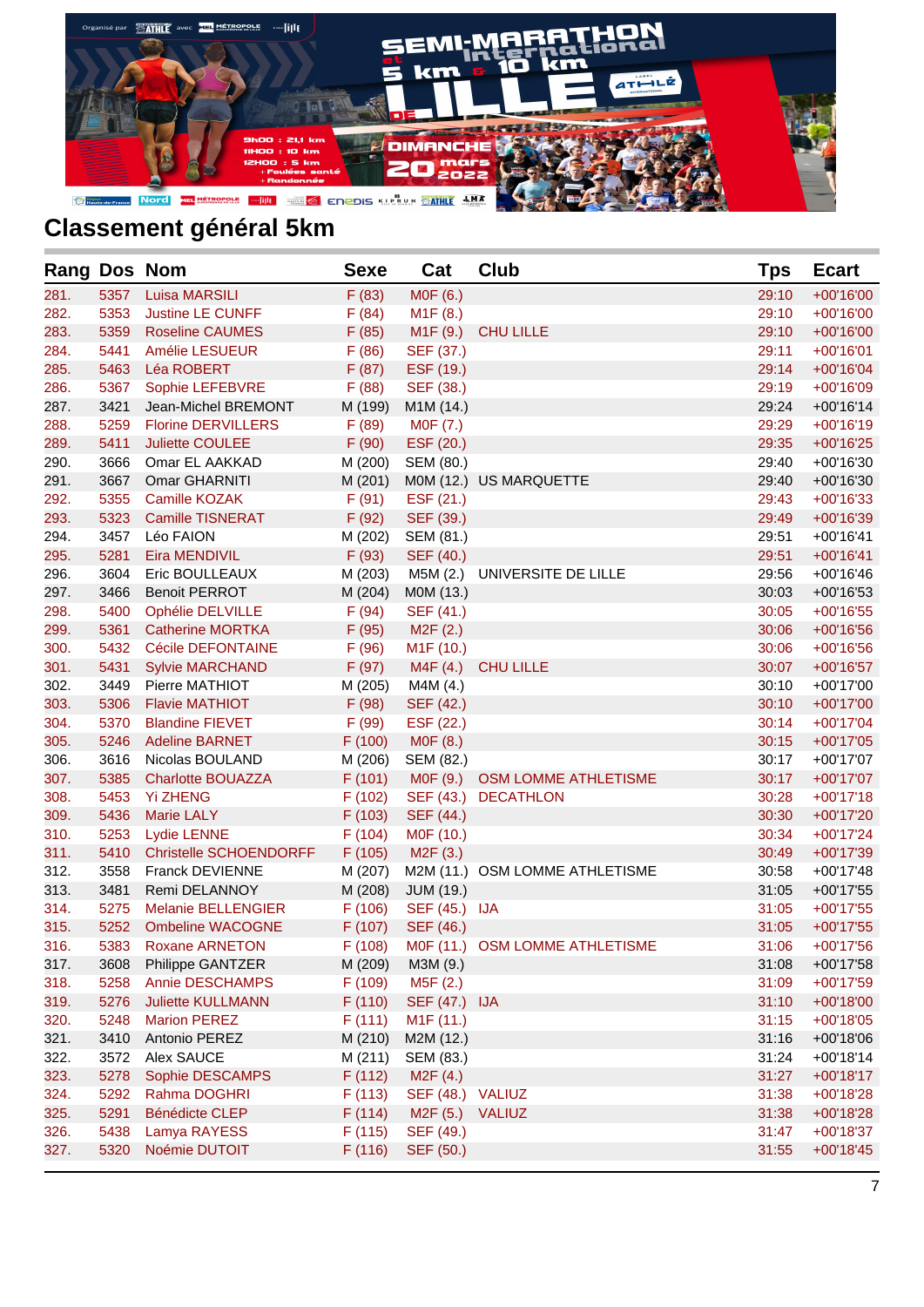

| Rang Dos Nom |      |                               | <b>Sexe</b> | Cat                    | <b>Club</b>                    | <b>Tps</b> | <b>Ecart</b> |
|--------------|------|-------------------------------|-------------|------------------------|--------------------------------|------------|--------------|
| 281.         | 5357 | <b>Luisa MARSILI</b>          | F(83)       | M0F (6.)               |                                | 29:10      | +00'16'00    |
| 282.         | 5353 | Justine LE CUNFF              | F(84)       | M <sub>1</sub> F (8.)  |                                | 29:10      | +00'16'00    |
| 283.         | 5359 | <b>Roseline CAUMES</b>        | F(85)       | M <sub>1</sub> F (9.)  | <b>CHU LILLE</b>               | 29:10      | $+00'16'00$  |
| 284.         | 5441 | Amélie LESUEUR                | F(86)       | SEF (37.)              |                                | 29:11      | $+00'16'01$  |
| 285.         | 5463 | Léa ROBERT                    | F(87)       | ESF (19.)              |                                | 29:14      | $+00'16'04$  |
| 286.         | 5367 | Sophie LEFEBVRE               | F(88)       | SEF (38.)              |                                | 29:19      | +00'16'09    |
| 287.         | 3421 | Jean-Michel BREMONT           | M (199)     | M1M (14.)              |                                | 29:24      | $+00'16'14$  |
| 288.         | 5259 | <b>Florine DERVILLERS</b>     | F(89)       | M0F (7.)               |                                | 29:29      | $+00'16'19$  |
| 289.         | 5411 | <b>Juliette COULEE</b>        | F(90)       | ESF (20.)              |                                | 29:35      | $+00'16'25$  |
| 290.         | 3666 | Omar EL AAKKAD                | M (200)     | SEM (80.)              |                                | 29:40      | +00'16'30    |
| 291.         | 3667 | Omar GHARNITI                 | M (201)     |                        | M0M (12.) US MARQUETTE         | 29:40      | $+00'16'30$  |
| 292.         | 5355 | Camille KOZAK                 | F(91)       | ESF (21.)              |                                | 29:43      | $+00'16'33$  |
| 293.         | 5323 | <b>Camille TISNERAT</b>       | F (92)      | SEF (39.)              |                                | 29:49      | $+00'16'39$  |
| 294.         | 3457 | Léo FAION                     | M (202)     | SEM (81.)              |                                | 29:51      | $+00'16'41$  |
| 295.         | 5281 | Eira MENDIVIL                 | F(93)       | SEF (40.)              |                                | 29:51      | $+00'16'41$  |
| 296.         | 3604 | Eric BOULLEAUX                | M (203)     | M5M (2.)               | UNIVERSITE DE LILLE            | 29:56      | $+00'16'46$  |
| 297.         | 3466 | <b>Benoit PERROT</b>          | M (204)     | MOM (13.)              |                                | 30:03      | $+00'16'53$  |
| 298.         | 5400 | Ophélie DELVILLE              | F(94)       | SEF (41.)              |                                | 30:05      | $+00'16'55$  |
| 299.         | 5361 | <b>Catherine MORTKA</b>       | F(95)       | M <sub>2</sub> F (2.)  |                                | 30:06      | $+00'16'56$  |
| 300.         | 5432 | Cécile DEFONTAINE             | F(96)       | M1F (10.)              |                                | 30:06      | $+00'16'56$  |
| 301.         | 5431 | <b>Sylvie MARCHAND</b>        | F (97)      | M4F(4.)                | <b>CHU LILLE</b>               | 30:07      | $+00'16'57$  |
| 302.         | 3449 | Pierre MATHIOT                | M (205)     | M4M (4.)               |                                | 30:10      | +00'17'00    |
| 303.         | 5306 | <b>Flavie MATHIOT</b>         | F(98)       | SEF (42.)              |                                | 30:10      | $+00'17'00$  |
| 304.         | 5370 | <b>Blandine FIEVET</b>        | F(99)       | ESF (22.)              |                                | 30:14      | $+00'17'04$  |
| 305.         | 5246 | <b>Adeline BARNET</b>         | F(100)      | M0F (8.)               |                                | 30:15      | $+00'17'05$  |
| 306.         | 3616 | Nicolas BOULAND               | M (206)     | SEM (82.)              |                                | 30:17      | +00'17'07    |
| 307.         | 5385 | <b>Charlotte BOUAZZA</b>      | F(101)      | M0F (9.)               | OSM LOMME ATHLETISME           | 30:17      | $+00'17'07$  |
| 308.         | 5453 | <b>Yi ZHENG</b>               | F(102)      | SEF (43.)              | <b>DECATHLON</b>               | 30:28      | $+00'17'18$  |
| 309.         | 5436 | <b>Marie LALY</b>             | F(103)      | SEF (44.)              |                                | 30:30      | +00'17'20    |
| 310.         | 5253 | <b>Lydie LENNE</b>            | F(104)      | MOF (10.)              |                                | 30:34      | $+00'17'24$  |
| 311.         | 5410 | <b>Christelle SCHOENDORFF</b> | F(105)      | M <sub>2</sub> F (3.)  |                                | 30:49      | +00'17'39    |
| 312.         | 3558 | <b>Franck DEVIENNE</b>        | M (207)     |                        | M2M (11.) OSM LOMME ATHLETISME | 30:58      | +00'17'48    |
| 313.         | 3481 | Remi DELANNOY                 | M (208)     | <b>JUM (19.)</b>       |                                | 31:05      | $+00'17'55$  |
| 314.         | 5275 | <b>Melanie BELLENGIER</b>     | F(106)      | SEF (45.) IJA          |                                | 31:05      | $+00'17'55$  |
| 315.         | 5252 | <b>Ombeline WACOGNE</b>       | F(107)      | SEF (46.)              |                                | 31:05      | $+00'17'55$  |
| 316.         | 5383 | <b>Roxane ARNETON</b>         | F (108)     |                        | M0F (11.) OSM LOMME ATHLETISME | 31:06      | $+00'17'56$  |
| 317.         | 3608 | Philippe GANTZER              | M (209)     | M3M (9.)               |                                | 31:08      | +00'17'58    |
| 318.         | 5258 | <b>Annie DESCHAMPS</b>        | F (109)     | M5F (2.)               |                                | 31:09      | +00'17'59    |
| 319.         | 5276 | <b>Juliette KULLMANN</b>      | F(110)      | SEF (47.) IJA          |                                | 31:10      | $+00'18'00$  |
| 320.         | 5248 | <b>Marion PEREZ</b>           | F(111)      | M <sub>1</sub> F (11.) |                                | 31:15      | $+00'18'05$  |
| 321.         | 3410 | Antonio PEREZ                 | M (210)     | M2M (12.)              |                                | 31:16      | $+00'18'06$  |
| 322.         | 3572 | Alex SAUCE                    | M (211)     | SEM (83.)              |                                | 31:24      | $+00'18'14$  |
| 323.         | 5278 | Sophie DESCAMPS               | F(112)      | M2F(4.)                |                                | 31:27      | $+00'18'17$  |
| 324.         | 5292 | Rahma DOGHRI                  | F(113)      | SEF (48.)              | <b>VALIUZ</b>                  | 31:38      | +00'18'28    |
| 325.         | 5291 | <b>Bénédicte CLEP</b>         | F(114)      | M <sub>2</sub> F (5.)  | <b>VALIUZ</b>                  | 31:38      | +00'18'28    |
| 326.         | 5438 | Lamya RAYESS                  | F(115)      | SEF (49.)              |                                | 31:47      | $+00'18'37$  |
| 327.         | 5320 | Noémie DUTOIT                 | F(116)      | SEF (50.)              |                                | 31:55      | $+00'18'45$  |
|              |      |                               |             |                        |                                |            |              |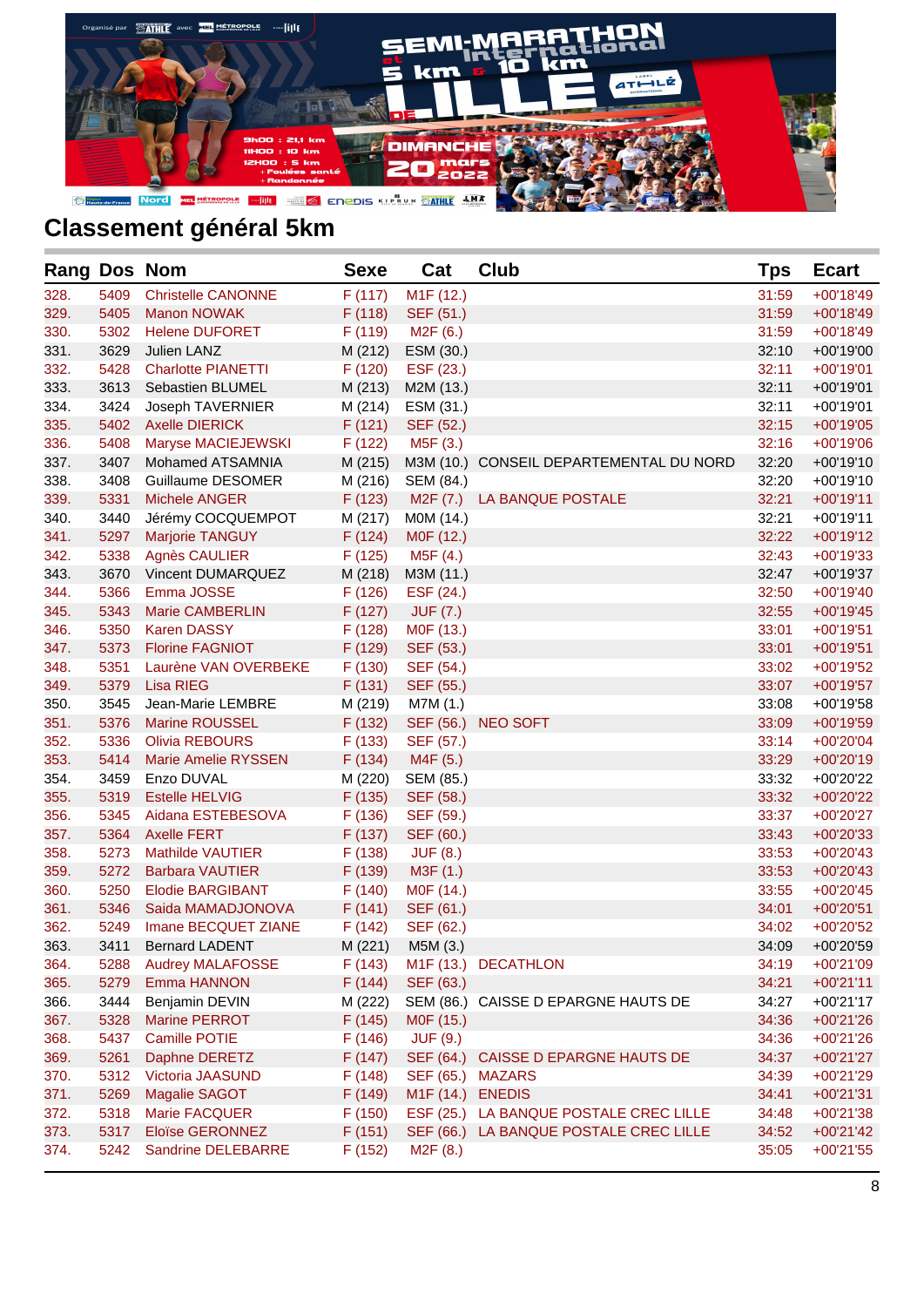

| <b>Rang Dos Nom</b> |      |                            | <b>Sexe</b> | Cat                    | <b>Club</b>                             | Tps   | <b>Ecart</b> |
|---------------------|------|----------------------------|-------------|------------------------|-----------------------------------------|-------|--------------|
| 328.                | 5409 | <b>Christelle CANONNE</b>  | F(117)      | M <sub>1</sub> F (12.) |                                         | 31:59 | $+00'18'49$  |
| 329.                | 5405 | <b>Manon NOWAK</b>         | F(118)      | SEF (51.)              |                                         | 31:59 | $+00'18'49$  |
| 330.                | 5302 | <b>Helene DUFORET</b>      | F(119)      | M <sub>2</sub> F (6.)  |                                         | 31:59 | $+00'18'49$  |
| 331.                | 3629 | Julien LANZ                | M (212)     | ESM (30.)              |                                         | 32:10 | $+00'19'00$  |
| 332.                | 5428 | <b>Charlotte PIANETTI</b>  | F(120)      | ESF (23.)              |                                         | 32:11 | $+00'19'01$  |
| 333.                | 3613 | Sebastien BLUMEL           | M (213)     | M2M (13.)              |                                         | 32:11 | $+00'19'01$  |
| 334.                | 3424 | Joseph TAVERNIER           | M (214)     | ESM (31.)              |                                         | 32:11 | $+00'19'01$  |
| 335.                | 5402 | <b>Axelle DIERICK</b>      | F(121)      | SEF (52.)              |                                         | 32:15 | $+00'19'05$  |
| 336.                | 5408 | Maryse MACIEJEWSKI         | F(122)      | M5F (3.)               |                                         | 32:16 | $+00'19'06$  |
| 337.                | 3407 | Mohamed ATSAMNIA           | M (215)     |                        | M3M (10.) CONSEIL DEPARTEMENTAL DU NORD | 32:20 | $+00'19'10$  |
| 338.                | 3408 | Guillaume DESOMER          | M (216)     | SEM (84.)              |                                         | 32:20 | $+00'19'10$  |
| 339.                | 5331 | <b>Michele ANGER</b>       | F(123)      | M2F (7.)               | LA BANQUE POSTALE                       | 32:21 | $+00'19'11$  |
| 340.                | 3440 | Jérémy COCQUEMPOT          | M (217)     | MOM (14.)              |                                         | 32:21 | $+00'19'11$  |
| 341.                | 5297 | <b>Marjorie TANGUY</b>     | F(124)      | M0F (12.)              |                                         | 32:22 | $+00'19'12$  |
| 342.                | 5338 | <b>Agnès CAULIER</b>       | F(125)      | M5F (4.)               |                                         | 32:43 | $+00'19'33$  |
| 343.                | 3670 | Vincent DUMARQUEZ          | M (218)     | M3M (11.)              |                                         | 32:47 | +00'19'37    |
| 344.                | 5366 | Emma JOSSE                 | F(126)      | ESF (24.)              |                                         | 32:50 | $+00'19'40$  |
| 345.                | 5343 | <b>Marie CAMBERLIN</b>     | F(127)      | <b>JUF (7.)</b>        |                                         | 32:55 | $+00'19'45$  |
| 346.                | 5350 | <b>Karen DASSY</b>         | F(128)      | M0F (13.)              |                                         | 33:01 | $+00'19'51$  |
| 347.                | 5373 | <b>Florine FAGNIOT</b>     | F (129)     | SEF (53.)              |                                         | 33:01 | $+00'19'51$  |
| 348.                | 5351 | Laurène VAN OVERBEKE       | F(130)      | SEF (54.)              |                                         | 33:02 | $+00'19'52$  |
| 349.                | 5379 | <b>Lisa RIEG</b>           | F(131)      | SEF (55.)              |                                         | 33:07 | $+00'19'57$  |
| 350.                | 3545 | Jean-Marie LEMBRE          | M (219)     | M7M (1.)               |                                         | 33:08 | $+00'19'58$  |
| 351.                | 5376 | <b>Marine ROUSSEL</b>      | F(132)      | SEF (56.)              | <b>NEO SOFT</b>                         | 33:09 | $+00'19'59$  |
| 352.                | 5336 | <b>Olivia REBOURS</b>      | F(133)      | SEF (57.)              |                                         | 33:14 | $+00'20'04$  |
| 353.                | 5414 | <b>Marie Amelie RYSSEN</b> | F(134)      | M4F (5.)               |                                         | 33:29 | $+00'20'19$  |
| 354.                | 3459 | Enzo DUVAL                 | M (220)     | SEM (85.)              |                                         | 33:32 | +00'20'22    |
| 355.                | 5319 | <b>Estelle HELVIG</b>      | F(135)      | SEF (58.)              |                                         | 33:32 | +00'20'22    |
| 356.                | 5345 | Aidana ESTEBESOVA          | F(136)      | SEF (59.)              |                                         | 33:37 | $+00'20'27$  |
| 357.                | 5364 | <b>Axelle FERT</b>         | F(137)      | SEF (60.)              |                                         | 33:43 | $+00'20'33$  |
| 358.                | 5273 | <b>Mathilde VAUTIER</b>    | F(138)      | <b>JUF (8.)</b>        |                                         | 33:53 | $+00'20'43$  |
| 359.                | 5272 | <b>Barbara VAUTIER</b>     | F (139)     | M3F (1.)               |                                         | 33:53 | $+00'20'43$  |
| 360.                | 5250 | <b>Elodie BARGIBANT</b>    | F(140)      | MOF (14.)              |                                         | 33:55 | $+00'20'45$  |
| 361.                | 5346 | Saida MAMADJONOVA          | F(141)      | SEF (61.)              |                                         | 34:01 | $+00'20'51$  |
| 362.                | 5249 | Imane BECQUET ZIANE        | F(142)      | SEF (62.)              |                                         | 34:02 | +00'20'52    |
| 363.                | 3411 | <b>Bernard LADENT</b>      | M (221)     | M5M (3.)               |                                         | 34:09 | +00'20'59    |
| 364.                | 5288 | <b>Audrey MALAFOSSE</b>    | F(143)      |                        | M1F (13.) DECATHLON                     | 34:19 | +00'21'09    |
| 365.                | 5279 | Emma HANNON                | F(144)      | SEF (63.)              |                                         | 34:21 | $+00'21'11$  |
| 366.                | 3444 | Benjamin DEVIN             | M (222)     | SEM (86.)              | CAISSE D EPARGNE HAUTS DE               | 34:27 | $+00'21'17$  |
| 367.                | 5328 | <b>Marine PERROT</b>       | F(145)      | M0F (15.)              |                                         | 34:36 | +00'21'26    |
| 368.                | 5437 | Camille POTIE              | F(146)      | <b>JUF (9.)</b>        |                                         | 34:36 | $+00'21'26$  |
| 369.                | 5261 | Daphne DERETZ              | F(147)      | SEF (64.)              | CAISSE D EPARGNE HAUTS DE               | 34:37 | $+00'21'27$  |
| 370.                | 5312 | Victoria JAASUND           | F(148)      | SEF (65.)              | MAZARS                                  | 34:39 | $+00'21'29$  |
| 371.                | 5269 | Magalie SAGOT              | F (149)     | M <sub>1</sub> F (14.) | <b>ENEDIS</b>                           | 34:41 | $+00'21'31$  |
| 372.                | 5318 | Marie FACQUER              | F(150)      | ESF (25.)              | LA BANQUE POSTALE CREC LILLE            | 34:48 | +00'21'38    |
| 373.                | 5317 | <b>Eloïse GERONNEZ</b>     | F(151)      | SEF (66.)              | LA BANQUE POSTALE CREC LILLE            | 34:52 | $+00'21'42$  |
| 374.                | 5242 | Sandrine DELEBARRE         | F(152)      | M2F(8.)                |                                         | 35:05 | $+00'21'55$  |